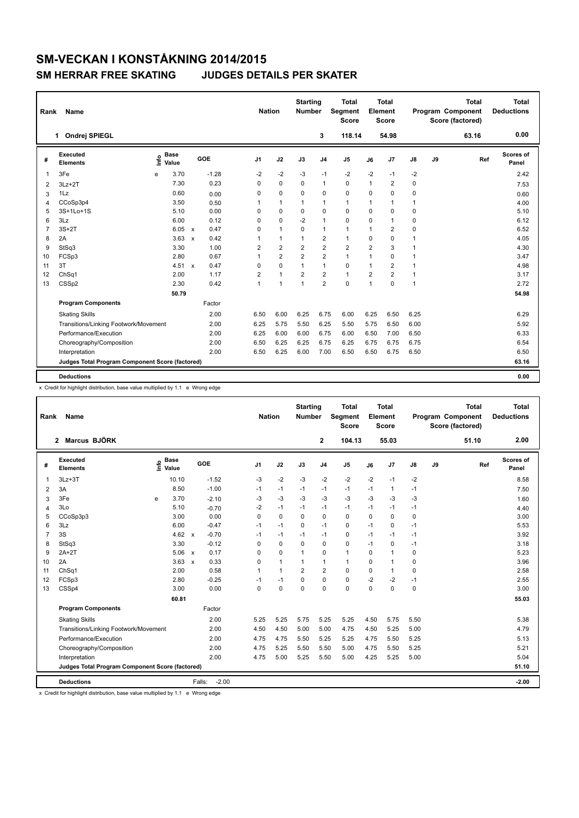## **SM-VECKAN I KONSTÅKNING 2014/2015 SM HERRAR FREE SKATING JUDGES DETAILS PER SKATER**

| Rank           | <b>Name</b>                                     |                              |                           |         | <b>Nation</b>  |                | <b>Starting</b><br>Number |                | <b>Total</b><br><b>Segment</b><br><b>Score</b> |                | <b>Total</b><br>Element<br><b>Score</b> |      |    | <b>Total</b><br>Program Component<br>Score (factored) | <b>Total</b><br><b>Deductions</b> |
|----------------|-------------------------------------------------|------------------------------|---------------------------|---------|----------------|----------------|---------------------------|----------------|------------------------------------------------|----------------|-----------------------------------------|------|----|-------------------------------------------------------|-----------------------------------|
|                | Ondrej SPIEGL<br>1                              |                              |                           |         |                |                |                           | 3              | 118.14                                         |                | 54.98                                   |      |    | 63.16                                                 | 0.00                              |
| #              | Executed<br><b>Elements</b>                     | <b>Base</b><br>١nf٥<br>Value |                           | GOE     | J <sub>1</sub> | J2             | J3                        | J <sub>4</sub> | J <sub>5</sub>                                 | J6             | J7                                      | J8   | J9 | Ref                                                   | <b>Scores of</b><br>Panel         |
| $\mathbf{1}$   | 3Fe                                             | 3.70<br>e                    |                           | $-1.28$ | $-2$           | $-2$           | $-3$                      | $-1$           | $-2$                                           | $-2$           | $-1$                                    | $-2$ |    |                                                       | 2.42                              |
| 2              | $3Lz + 2T$                                      | 7.30                         |                           | 0.23    | 0              | $\pmb{0}$      | 0                         | $\mathbf{1}$   | 0                                              | 1              | $\overline{\mathbf{c}}$                 | 0    |    |                                                       | 7.53                              |
| 3              | 1Lz                                             | 0.60                         |                           | 0.00    | 0              | $\mathbf 0$    | $\Omega$                  | $\mathbf 0$    | $\Omega$                                       | $\Omega$       | $\Omega$                                | 0    |    |                                                       | 0.60                              |
| 4              | CCoSp3p4                                        | 3.50                         |                           | 0.50    | 1              | $\mathbf{1}$   | 1                         | $\mathbf{1}$   | $\mathbf{1}$                                   | 1              | 1                                       | 1    |    |                                                       | 4.00                              |
| 5              | 3S+1Lo+1S                                       | 5.10                         |                           | 0.00    | 0              | $\mathbf 0$    | 0                         | $\mathbf 0$    | $\mathbf 0$                                    | $\Omega$       | 0                                       | 0    |    |                                                       | 5.10                              |
| 6              | 3Lz                                             | 6.00                         |                           | 0.12    | $\Omega$       | $\mathbf 0$    | $-2$                      | $\mathbf{1}$   | $\Omega$                                       | $\Omega$       | $\overline{1}$                          | 0    |    |                                                       | 6.12                              |
| $\overline{7}$ | $3S+2T$                                         | 6.05                         | $\mathsf{x}$              | 0.47    | 0              | $\mathbf{1}$   | 0                         | $\mathbf{1}$   | $\mathbf{1}$                                   | 1              | $\overline{2}$                          | 0    |    |                                                       | 6.52                              |
| 8              | 2A                                              | 3.63                         | $\boldsymbol{\mathsf{x}}$ | 0.42    | 1              | $\mathbf{1}$   | 1                         | $\overline{2}$ | $\mathbf{1}$                                   | $\Omega$       | 0                                       | 1    |    |                                                       | 4.05                              |
| 9              | StSq3                                           | 3.30                         |                           | 1.00    | 2              | $\overline{2}$ | $\overline{2}$            | $\overline{2}$ | $\overline{2}$                                 | $\overline{2}$ | 3                                       | 1    |    |                                                       | 4.30                              |
| 10             | FCSp3                                           | 2.80                         |                           | 0.67    | 1              | $\overline{2}$ | $\overline{2}$            | $\overline{2}$ | $\mathbf{1}$                                   | 1              | 0                                       | 1    |    |                                                       | 3.47                              |
| 11             | 3T                                              | 4.51 x                       |                           | 0.47    | $\Omega$       | $\mathbf 0$    | $\mathbf{1}$              | $\mathbf{1}$   | $\mathbf 0$                                    | $\mathbf 1$    | $\overline{2}$                          | 1    |    |                                                       | 4.98                              |
| 12             | ChSq1                                           | 2.00                         |                           | 1.17    | $\overline{2}$ | $\mathbf{1}$   | $\overline{2}$            | $\overline{2}$ | $\mathbf{1}$                                   | $\overline{2}$ | $\overline{2}$                          | 1    |    |                                                       | 3.17                              |
| 13             | CSSp2                                           | 2.30                         |                           | 0.42    | 1              | 1              | $\overline{1}$            | $\overline{2}$ | $\mathbf 0$                                    | $\overline{1}$ | 0                                       | 1    |    |                                                       | 2.72                              |
|                |                                                 | 50.79                        |                           |         |                |                |                           |                |                                                |                |                                         |      |    |                                                       | 54.98                             |
|                | <b>Program Components</b>                       |                              |                           | Factor  |                |                |                           |                |                                                |                |                                         |      |    |                                                       |                                   |
|                | <b>Skating Skills</b>                           |                              |                           | 2.00    | 6.50           | 6.00           | 6.25                      | 6.75           | 6.00                                           | 6.25           | 6.50                                    | 6.25 |    |                                                       | 6.29                              |
|                | Transitions/Linking Footwork/Movement           |                              |                           | 2.00    | 6.25           | 5.75           | 5.50                      | 6.25           | 5.50                                           | 5.75           | 6.50                                    | 6.00 |    |                                                       | 5.92                              |
|                | Performance/Execution                           |                              |                           | 2.00    | 6.25           | 6.00           | 6.00                      | 6.75           | 6.00                                           | 6.50           | 7.00                                    | 6.50 |    |                                                       | 6.33                              |
|                | Choreography/Composition                        |                              |                           | 2.00    | 6.50           | 6.25           | 6.25                      | 6.75           | 6.25                                           | 6.75           | 6.75                                    | 6.75 |    |                                                       | 6.54                              |
|                | Interpretation                                  |                              |                           | 2.00    | 6.50           | 6.25           | 6.00                      | 7.00           | 6.50                                           | 6.50           | 6.75                                    | 6.50 |    |                                                       | 6.50                              |
|                | Judges Total Program Component Score (factored) |                              |                           |         |                |                |                           |                |                                                |                |                                         |      |    |                                                       | 63.16                             |
|                |                                                 |                              |                           |         |                |                |                           |                |                                                |                |                                         |      |    |                                                       |                                   |
|                | <b>Deductions</b>                               |                              |                           |         |                |                |                           |                |                                                |                |                                         |      |    |                                                       | 0.00                              |

x Credit for highlight distribution, base value multiplied by 1.1 e Wrong edge

| Rank           | Name                                            |                              |                                   | <b>Nation</b>  |              | <b>Starting</b><br>Number |                | <b>Total</b><br>Segment<br><b>Score</b> |          | <b>Total</b><br>Element<br><b>Score</b> |      |    | <b>Total</b><br>Program Component<br>Score (factored) | <b>Total</b><br><b>Deductions</b> |
|----------------|-------------------------------------------------|------------------------------|-----------------------------------|----------------|--------------|---------------------------|----------------|-----------------------------------------|----------|-----------------------------------------|------|----|-------------------------------------------------------|-----------------------------------|
|                | Marcus BJÖRK<br>$\mathbf{2}$                    |                              |                                   |                |              |                           | $\mathbf{2}$   | 104.13                                  |          | 55.03                                   |      |    | 51.10                                                 | 2.00                              |
| #              | Executed<br><b>Elements</b>                     | <b>Base</b><br>١nfo<br>Value | GOE                               | J <sub>1</sub> | J2           | J3                        | J <sub>4</sub> | J <sub>5</sub>                          | J6       | J7                                      | J8   | J9 | Ref                                                   | Scores of<br>Panel                |
| 1              | $3Lz + 3T$                                      | 10.10                        | $-1.52$                           | $-3$           | $-2$         | $-3$                      | $-2$           | $-2$                                    | $-2$     | $-1$                                    | $-2$ |    |                                                       | 8.58                              |
| 2              | 3A                                              | 8.50                         | $-1.00$                           | $-1$           | $-1$         | $-1$                      | $-1$           | $-1$                                    | $-1$     | $\mathbf{1}$                            | $-1$ |    |                                                       | 7.50                              |
| 3              | 3Fe                                             | 3.70<br>e                    | $-2.10$                           | -3             | $-3$         | $-3$                      | $-3$           | $-3$                                    | $-3$     | $-3$                                    | $-3$ |    |                                                       | 1.60                              |
| 4              | 3Lo                                             | 5.10                         | $-0.70$                           | $-2$           | $-1$         | $-1$                      | $-1$           | $-1$                                    | $-1$     | $-1$                                    | $-1$ |    |                                                       | 4.40                              |
| 5              | CCoSp3p3                                        | 3.00                         | 0.00                              | 0              | $\mathbf 0$  | $\mathbf 0$               | $\mathbf 0$    | 0                                       | 0        | 0                                       | 0    |    |                                                       | 3.00                              |
| 6              | 3Lz                                             | 6.00                         | $-0.47$                           | $-1$           | $-1$         | $\Omega$                  | $-1$           | $\mathbf 0$                             | $-1$     | 0                                       | $-1$ |    |                                                       | 5.53                              |
| $\overline{7}$ | 3S                                              | 4.62                         | $-0.70$<br>$\mathsf{x}$           | $-1$           | $-1$         | $-1$                      | $-1$           | 0                                       | $-1$     | $-1$                                    | $-1$ |    |                                                       | 3.92                              |
| 8              | StSq3                                           | 3.30                         | $-0.12$                           | 0              | $\mathbf 0$  | $\mathbf 0$               | $\mathbf 0$    | 0                                       | $-1$     | 0                                       | $-1$ |    |                                                       | 3.18                              |
| 9              | $2A+2T$                                         | 5.06                         | 0.17<br>$\mathbf{x}$              | 0              | $\Omega$     | $\mathbf{1}$              | $\mathbf 0$    | $\mathbf{1}$                            | $\Omega$ | 1                                       | 0    |    |                                                       | 5.23                              |
| 10             | 2A                                              | 3.63                         | 0.33<br>$\boldsymbol{\mathsf{x}}$ | 0              | $\mathbf{1}$ | $\mathbf{1}$              | $\mathbf{1}$   | $\mathbf{1}$                            | $\Omega$ | $\mathbf{1}$                            | 0    |    |                                                       | 3.96                              |
| 11             | ChSq1                                           | 2.00                         | 0.58                              | 1              | $\mathbf{1}$ | $\overline{2}$            | $\overline{2}$ | 0                                       | 0        | 1                                       | 0    |    |                                                       | 2.58                              |
| 12             | FCSp3                                           | 2.80                         | $-0.25$                           | $-1$           | $-1$         | $\Omega$                  | 0              | $\mathbf 0$                             | $-2$     | $-2$                                    | $-1$ |    |                                                       | 2.55                              |
| 13             | CSSp4                                           | 3.00                         | 0.00                              | 0              | $\mathbf 0$  | $\mathbf 0$               | $\mathbf 0$    | 0                                       | 0        | 0                                       | 0    |    |                                                       | 3.00                              |
|                |                                                 | 60.81                        |                                   |                |              |                           |                |                                         |          |                                         |      |    |                                                       | 55.03                             |
|                | <b>Program Components</b>                       |                              | Factor                            |                |              |                           |                |                                         |          |                                         |      |    |                                                       |                                   |
|                | <b>Skating Skills</b>                           |                              | 2.00                              | 5.25           | 5.25         | 5.75                      | 5.25           | 5.25                                    | 4.50     | 5.75                                    | 5.50 |    |                                                       | 5.38                              |
|                | Transitions/Linking Footwork/Movement           |                              | 2.00                              | 4.50           | 4.50         | 5.00                      | 5.00           | 4.75                                    | 4.50     | 5.25                                    | 5.00 |    |                                                       | 4.79                              |
|                | Performance/Execution                           |                              | 2.00                              | 4.75           | 4.75         | 5.50                      | 5.25           | 5.25                                    | 4.75     | 5.50                                    | 5.25 |    |                                                       | 5.13                              |
|                | Choreography/Composition                        |                              | 2.00                              | 4.75           | 5.25         | 5.50                      | 5.50           | 5.00                                    | 4.75     | 5.50                                    | 5.25 |    |                                                       | 5.21                              |
|                | Interpretation                                  |                              | 2.00                              | 4.75           | 5.00         | 5.25                      | 5.50           | 5.00                                    | 4.25     | 5.25                                    | 5.00 |    |                                                       | 5.04                              |
|                | Judges Total Program Component Score (factored) |                              |                                   |                |              |                           |                |                                         |          |                                         |      |    |                                                       | 51.10                             |
|                | <b>Deductions</b>                               |                              | $-2.00$<br>Falls:                 |                |              |                           |                |                                         |          |                                         |      |    |                                                       |                                   |
|                |                                                 |                              |                                   |                |              |                           |                |                                         |          |                                         |      |    |                                                       | $-2.00$                           |

x Credit for highlight distribution, base value multiplied by 1.1 e Wrong edge